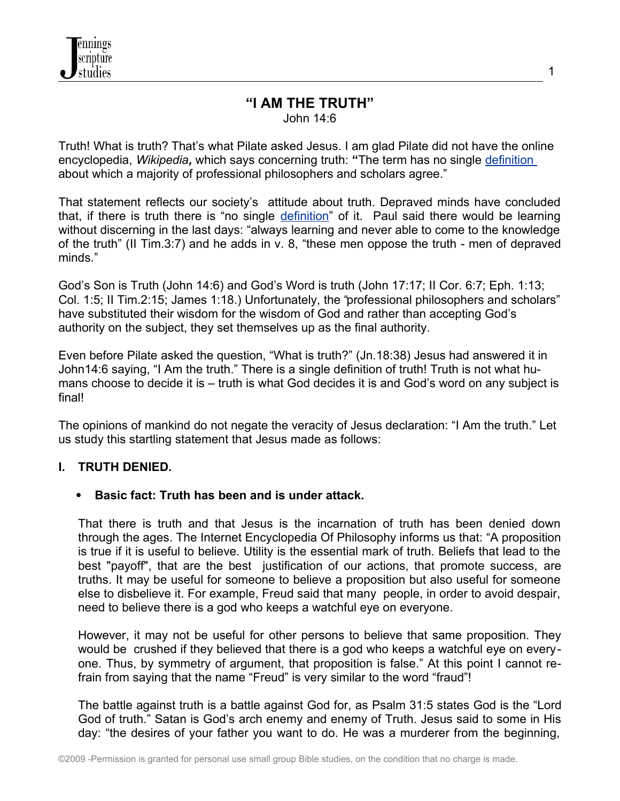#### **"I AM THE TRUTH"** John 14:6

Truth! What is truth? That's what Pilate asked Jesus. I am glad Pilate did not have the online encyclopedia, *Wikipedia,* which says concerning truth: **"**The term has no single [definition](http://en.wikipedia.org/wiki/Definition) about which a majority of professional philosophers and scholars agree."

That statement reflects our society's attitude about truth. Depraved minds have concluded that, if there is truth there is "no single [definition"](http://en.wikipedia.org/wiki/Definition) of it. Paul said there would be learning without discerning in the last days: "always learning and never able to come to the knowledge of the truth" (II Tim.3:7) and he adds in v. 8, "these men oppose the truth - men of depraved minds."

God's Son is Truth (John 14:6) and God's Word is truth (John 17:17; II Cor. 6:7; Eph. 1:13; Col. 1:5; II Tim.2:15; James 1:18.) Unfortunately, the "professional philosophers and scholars" have substituted their wisdom for the wisdom of God and rather than accepting God's authority on the subject, they set themselves up as the final authority.

Even before Pilate asked the question, "What is truth?" (Jn.18:38) Jesus had answered it in John14:6 saying, "I Am the truth." There is a single definition of truth! Truth is not what humans choose to decide it is – truth is what God decides it is and God's word on any subject is final!

The opinions of mankind do not negate the veracity of Jesus declaration: "I Am the truth." Let us study this startling statement that Jesus made as follows:

# **I. TRUTH DENIED.**

# **Basic fact: Truth has been and is under attack.**

That there is truth and that Jesus is the incarnation of truth has been denied down through the ages. The Internet Encyclopedia Of Philosophy informs us that: "A proposition is true if it is useful to believe. Utility is the essential mark of truth. Beliefs that lead to the best "payoff", that are the best justification of our actions, that promote success, are truths. It may be useful for someone to believe a proposition but also useful for someone else to disbelieve it. For example, Freud said that many people, in order to avoid despair, need to believe there is a god who keeps a watchful eye on everyone.

However, it may not be useful for other persons to believe that same proposition. They would be crushed if they believed that there is a god who keeps a watchful eye on everyone. Thus, by symmetry of argument, that proposition is false." At this point I cannot refrain from saying that the name "Freud" is very similar to the word "fraud"!

The battle against truth is a battle against God for, as Psalm 31:5 states God is the "Lord God of truth." Satan is God's arch enemy and enemy of Truth. Jesus said to some in His day: "the desires of your father you want to do. He was a murderer from the beginning,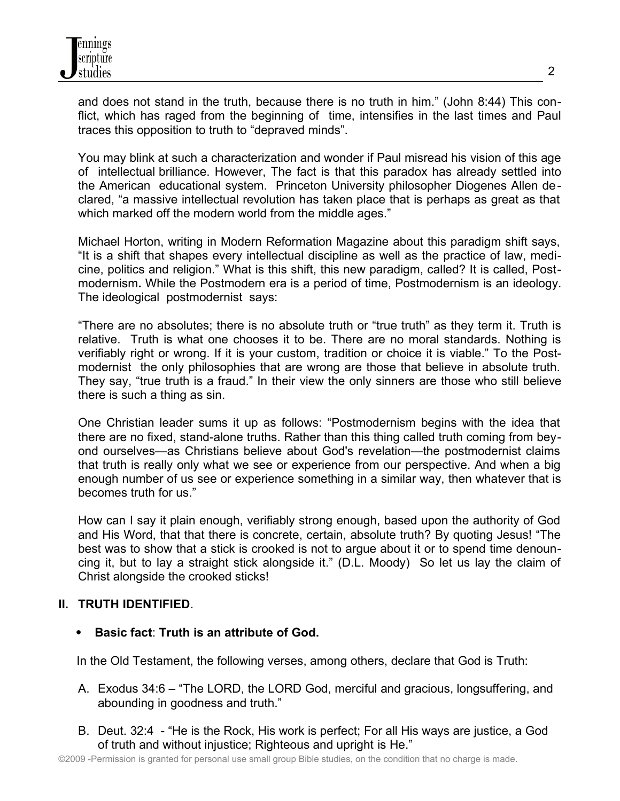and does not stand in the truth, because there is no truth in him." (John 8:44) This conflict, which has raged from the beginning of time, intensifies in the last times and Paul traces this opposition to truth to "depraved minds".

You may blink at such a characterization and wonder if Paul misread his vision of this age of intellectual brilliance. However, The fact is that this paradox has already settled into the American educational system. Princeton University philosopher Diogenes Allen declared, "a massive intellectual revolution has taken place that is perhaps as great as that which marked off the modern world from the middle ages."

Michael Horton, writing in Modern Reformation Magazine about this paradigm shift says, "It is a shift that shapes every intellectual discipline as well as the practice of law, medicine, politics and religion." What is this shift, this new paradigm, called? It is called, Postmodernism**.** While the Postmodern era is a period of time, Postmodernism is an ideology. The ideological postmodernist says:

"There are no absolutes; there is no absolute truth or "true truth" as they term it. Truth is relative. Truth is what one chooses it to be. There are no moral standards. Nothing is verifiably right or wrong. If it is your custom, tradition or choice it is viable." To the Postmodernist the only philosophies that are wrong are those that believe in absolute truth. They say, "true truth is a fraud." In their view the only sinners are those who still believe there is such a thing as sin.

One Christian leader sums it up as follows: "Postmodernism begins with the idea that there are no fixed, stand-alone truths. Rather than this thing called truth coming from beyond ourselves—as Christians believe about God's revelation—the postmodernist claims that truth is really only what we see or experience from our perspective. And when a big enough number of us see or experience something in a similar way, then whatever that is becomes truth for us."

How can I say it plain enough, verifiably strong enough, based upon the authority of God and His Word, that that there is concrete, certain, absolute truth? By quoting Jesus! "The best was to show that a stick is crooked is not to argue about it or to spend time denouncing it, but to lay a straight stick alongside it." (D.L. Moody) So let us lay the claim of Christ alongside the crooked sticks!

# **II. TRUTH IDENTIFIED**.

**Basic fact**: **Truth is an attribute of God.**

In the Old Testament, the following verses, among others, declare that God is Truth:

- A. Exodus 34:6 "The LORD, the LORD God, merciful and gracious, longsuffering, and abounding in goodness and truth."
- B. Deut. 32:4 "He is the Rock, His work is perfect; For all His ways are justice, a God of truth and without injustice; Righteous and upright is He."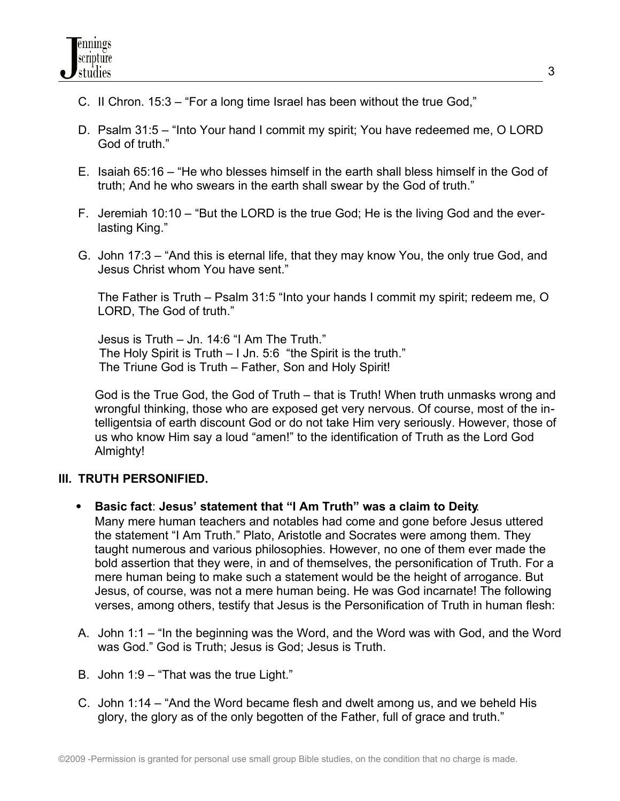- C. II Chron. 15:3 "For a long time Israel has been without the true God,"
- D. Psalm 31:5 "Into Your hand I commit my spirit; You have redeemed me, O LORD God of truth."
- E. Isaiah 65:16 "He who blesses himself in the earth shall bless himself in the God of truth; And he who swears in the earth shall swear by the God of truth."
- F. Jeremiah 10:10 "But the LORD is the true God; He is the living God and the everlasting King."
- G. John 17:3 "And this is eternal life, that they may know You, the only true God, and Jesus Christ whom You have sent."

The Father is Truth – Psalm 31:5 "Into your hands I commit my spirit; redeem me, O LORD, The God of truth."

Jesus is Truth – Jn. 14:6 "I Am The Truth." The Holy Spirit is Truth – I Jn. 5:6 "the Spirit is the truth." The Triune God is Truth – Father, Son and Holy Spirit!

God is the True God, the God of Truth – that is Truth! When truth unmasks wrong and wrongful thinking, those who are exposed get very nervous. Of course, most of the intelligentsia of earth discount God or do not take Him very seriously. However, those of us who know Him say a loud "amen!" to the identification of Truth as the Lord God Almighty!

# **III. TRUTH PERSONIFIED.**

- **Basic fact**: **Jesus' statement that "I Am Truth" was a claim to Deity**. Many mere human teachers and notables had come and gone before Jesus uttered the statement "I Am Truth." Plato, Aristotle and Socrates were among them. They taught numerous and various philosophies. However, no one of them ever made the bold assertion that they were, in and of themselves, the personification of Truth. For a mere human being to make such a statement would be the height of arrogance. But Jesus, of course, was not a mere human being. He was God incarnate! The following verses, among others, testify that Jesus is the Personification of Truth in human flesh:
- A. John 1:1 "In the beginning was the Word, and the Word was with God, and the Word was God." God is Truth; Jesus is God; Jesus is Truth.
- B. John 1:9 "That was the true Light."
- C. John 1:14 "And the Word became flesh and dwelt among us, and we beheld His glory, the glory as of the only begotten of the Father, full of grace and truth."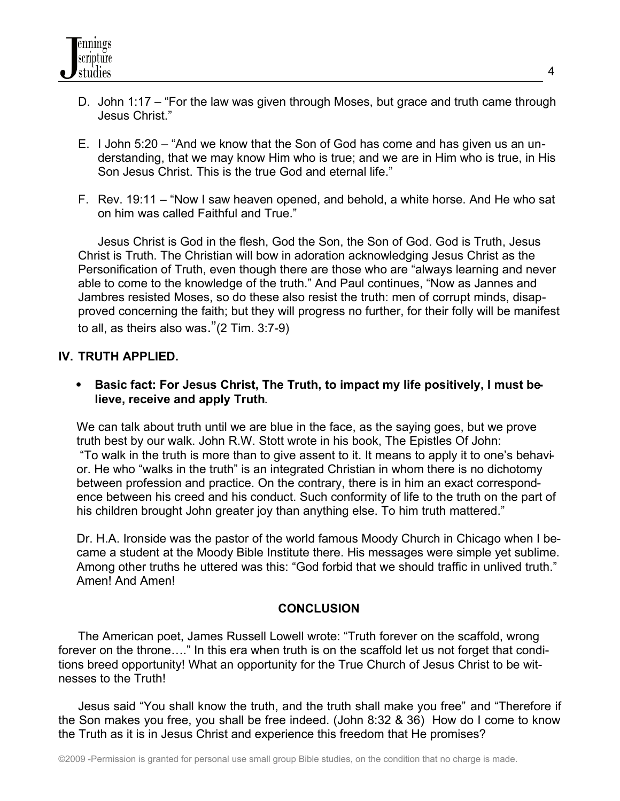- D. John 1:17 "For the law was given through Moses, but grace and truth came through Jesus Christ."
- E. I John 5:20 "And we know that the Son of God has come and has given us an understanding, that we may know Him who is true; and we are in Him who is true, in His Son Jesus Christ. This is the true God and eternal life."
- F. Rev. 19:11 "Now I saw heaven opened, and behold, a white horse. And He who sat on him was called Faithful and True."

Jesus Christ is God in the flesh, God the Son, the Son of God. God is Truth, Jesus Christ is Truth. The Christian will bow in adoration acknowledging Jesus Christ as the Personification of Truth, even though there are those who are "always learning and never able to come to the knowledge of the truth." And Paul continues, "Now as Jannes and Jambres resisted Moses, so do these also resist the truth: men of corrupt minds, disapproved concerning the faith; but they will progress no further, for their folly will be manifest to all, as theirs also was."(2 Tim. 3:7-9)

#### **IV. TRUTH APPLIED.**

• Basic fact: For Jesus Christ, The Truth, to impact my life positively, I must be**lieve, receive and apply Truth**.

We can talk about truth until we are blue in the face, as the saying goes, but we prove truth best by our walk. John R.W. Stott wrote in his book, The Epistles Of John: "To walk in the truth is more than to give assent to it. It means to apply it to one's behavior. He who "walks in the truth" is an integrated Christian in whom there is no dichotomy between profession and practice. On the contrary, there is in him an exact correspondence between his creed and his conduct. Such conformity of life to the truth on the part of his children brought John greater joy than anything else. To him truth mattered."

Dr. H.A. Ironside was the pastor of the world famous Moody Church in Chicago when I became a student at the Moody Bible Institute there. His messages were simple yet sublime. Among other truths he uttered was this: "God forbid that we should traffic in unlived truth." Amen! And Amen!

#### **CONCLUSION**

The American poet, James Russell Lowell wrote: "Truth forever on the scaffold, wrong forever on the throne…." In this era when truth is on the scaffold let us not forget that conditions breed opportunity! What an opportunity for the True Church of Jesus Christ to be witnesses to the Truth!

Jesus said "You shall know the truth, and the truth shall make you free" and "Therefore if the Son makes you free, you shall be free indeed. (John 8:32 & 36) How do I come to know the Truth as it is in Jesus Christ and experience this freedom that He promises?